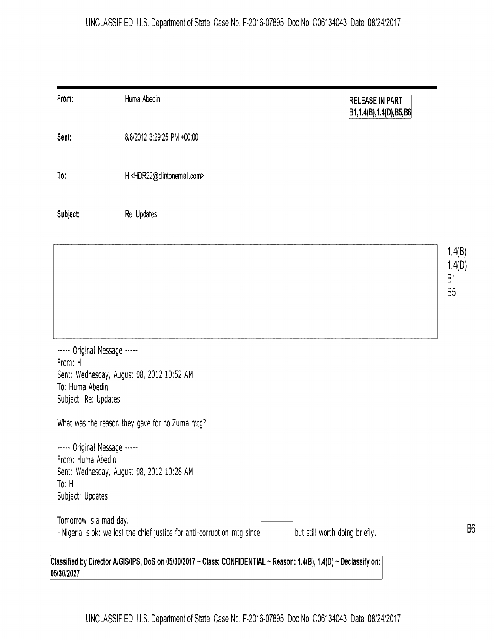## UNCLASSIFIED U.S. Department of State Case No. F-2016-07895 Doc No. C06134043 Date: 08/24/2017

| From:                                   | Huma Abedin                                                              | <b>RELEASE IN PART</b><br> B1,1.4(B),1.4(D),B5,B6 |                      |
|-----------------------------------------|--------------------------------------------------------------------------|---------------------------------------------------|----------------------|
| Sent:                                   | 8/8/2012 3:29:25 PM +00:00                                               |                                                   |                      |
| To:                                     | H <hdr22@clintonemail.com></hdr22@clintonemail.com>                      |                                                   |                      |
| Subject:                                | Re: Updates                                                              |                                                   |                      |
|                                         |                                                                          |                                                   | 1.4(B)<br>1.4(D)     |
|                                         |                                                                          |                                                   | B1<br>B <sub>5</sub> |
|                                         |                                                                          |                                                   |                      |
| ----- Original Message -----<br>From: H |                                                                          |                                                   |                      |
|                                         | Sent: Wednesday, August 08, 2012 10:52 AM                                |                                                   |                      |
| To: Huma Abedin<br>Subject: Re: Updates |                                                                          |                                                   |                      |
|                                         | What was the reason they gave for no Zuma mtg?                           |                                                   |                      |
| ----- Original Message -----            |                                                                          |                                                   |                      |
| From: Huma Abedin                       | Sent: Wednesday, August 08, 2012 10:28 AM                                |                                                   |                      |
| To: $H$                                 |                                                                          |                                                   |                      |
| Subject: Updates                        |                                                                          |                                                   |                      |
| Tomorrow is a mad day.                  |                                                                          |                                                   | B <sub>6</sub>       |
|                                         | - Nigeria is ok: we lost the chief justice for anti-corruption mtg since | but still worth doing briefly.                    |                      |